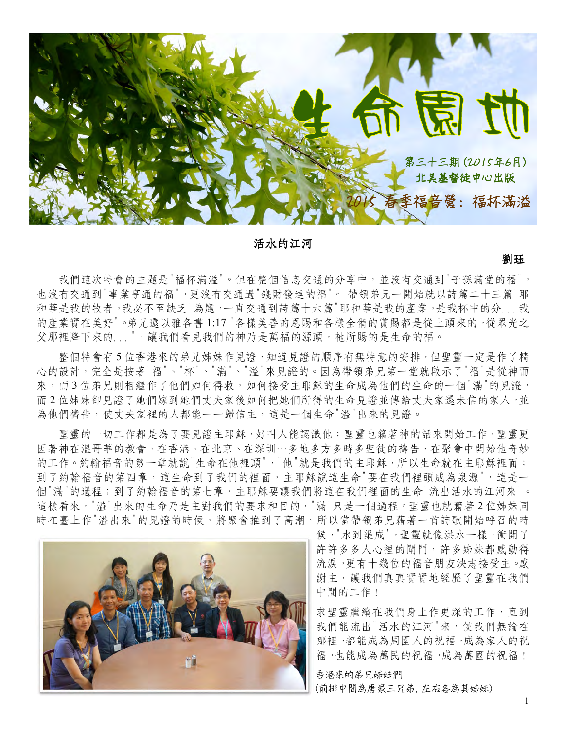

活水的江河

劉珏

我們這次特會的主題是"福杯滿溢"。但在整個信息交通的分享中,並沒有交通到"子孫滿堂的福", 也沒有交通到"事業亨通的福",更沒有交通過"錢財發達的福"。 帶領弟兄一開始就以詩篇二十三篇"耶 和華是我的牧者,我必不至缺乏"為題,一直交通到詩篇十六篇"耶和華是我的產業,是我杯中的分...我 的產業實在美好"。弟兄還以雅各書1:17 "各樣美善的恩賜和各樣全備的賞賜都是從上頭來的,從眾光之 父那裡降下來的...",讓我們看見我們的神乃是萬福的源頭,祂所賜的是生命的福。

 整個特會有 5 位香港來的弟兄姊妹作見證,知道見證的順序有無特意的安排,但聖靈一定是作了精 心的設計,完全是按著"福"、"杯"、"滿"、"溢"來見證的。因為帶領弟兄第一堂就啟示了"福"是從神而 來,而3位弟兄則相繼作了他們如何得救,如何接受主耶穌的生命成為他們的生命的一個"滿"的見證, 而2位姊妹卻見證了她們嫁到她們丈夫家後如何把她們所得的生命見證並傳給丈夫家還未信的家人,並 為他們禱告,使丈夫家裡的人都能一一歸信主,這是一個生命"溢"出來的見證。

聖靈的一切工作都是為了要見證主耶穌,好叫人能認識他;聖靈也籍著神的話來開始工作,聖靈更 因著神在溫哥華的教會、在香港、在北京、在深圳…多地多方多時多聖徒的禱告,在聚會中開始他奇妙 的工作。約翰福音的第一章就說"生命在他裡頭","他"就是我們的主耶穌,所以生命就在主耶穌裡面; 到了約翰福音的第四章,這生命到了我們的裡面,主耶穌說這生命"要在我們裡頭成為泉源",這是一 個"滿"的過程;到了約翰福音的第七章,主耶穌要讓我們將這在我們裡面的生命"流出活水的江河來"。 這樣看來,"溢"出來的生命乃是主對我們的要求和目的,"滿"只是一個過程。聖靈也就藉著2位姊妹同 時在臺上作"溢出來"的見證的時候,將聚會推到了高潮,所以當帶領弟兄藉著一首詩歌開始呼召的時



候,"水到渠成", 聖靈就像洪水一樣,衝開了 許許多多人心裡的閘門,許多姊妹都感動得 流淚,更有十幾位的福音朋友決志接受主。感 謝主,讓我們真真實實地經歷了聖靈在我們 中間的工作!

求聖靈繼續在我們身上作更深的工作,直到 我們能流出"活水的江河"來,使我們無論在 哪裡,都能成為周圍人的祝福,成為家人的祝 福,也能成為萬民的祝福,成為萬國的祝福!

香港來的弟兄姊妹們 (前排中間為唐家三兄弟, 左右各為其姊妹)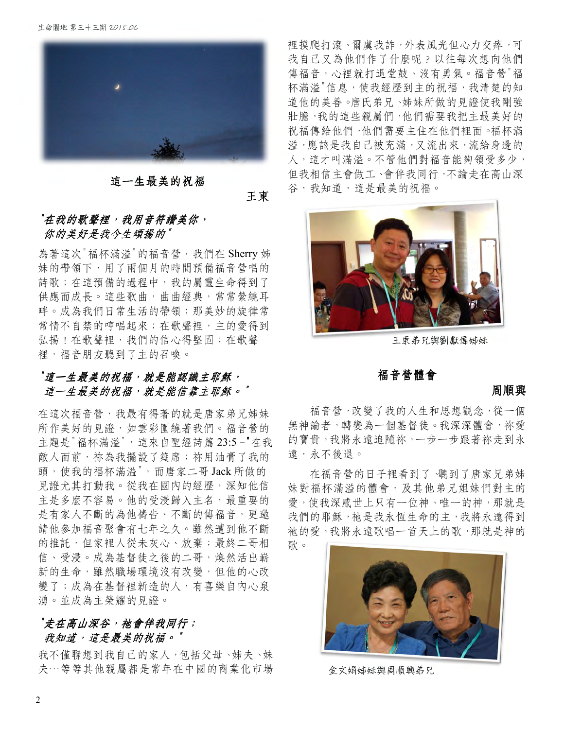

### 這一生最美的祝福

王東

# "在我的歌聲裡, 我用音符譖美你, 你的美好是我今生頌揚的"

為著這次"福杯滿溢"的福音營, 我們在 Sherry 姊 妹的帶領下,用了兩個月的時間預備福音營唱的 詩歌;在這預備的過程中,我的屬靈生命得到了 供應而成長。這些歌曲,曲曲經典,常常縈繞耳 畔。成為我們日常生活的帶領;那美妙的旋律常 常情不自禁的哼唱起來;在歌聲裡,主的愛得到 弘揚!在歌聲裡,我們的信心得堅固;在歌聲 裡,福音朋友聽到了主的召喚。

# "這一生最美的祝福, 就是能認識主耶穌, 這一生最美的祝福,就是能信靠主耶穌。"

在這次福音營,我最有得著的就是唐家弟兄姊妹 所作美好的見證,如雲彩圍繞著我們。福音營的 主題是"福杯滿溢",這來自聖經詩篇 23:5-"在我 敵人面前,祢為我擺設了筵席;祢用油膏了我的 頭,使我的福杯滿溢",而唐家二哥 Jack 所做的 見證尤其打動我。從我在國內的經歷,深知他信 主是多麼不容易。他的受浸歸入主名,最重要的 是有家人不斷的為他禱告、不斷的傳福音,更邀 請他參加福音聚會有七年之久。雖然遭到他不斷 的推託,但家裡人從未灰心、放棄;最終二哥相 信、受浸。成為基督徒之後的二哥,煥然活出嶄 新的生命,雖然職場環境沒有改變,但他的心改 變了;成為在基督裡新造的人,有喜樂自內心泉 湧。並成為主榮耀的見證。

# "走在高山深谷, "走在高山深谷,祂會伴我同行 ,祂會伴我同行; 我知道,這是最美的祝福。"

我不僅聯想到我自己的家人,包括父母、姊夫、妹 夫…等等其他親屬都是常年在中國的商業化市場

裡摸爬打滾、爾虞我詐,外表風光但心力交瘁,可 我自己又為他們作了什麼呢?以往每次想向他們 傳福音,心裡就打退堂鼓、沒有勇氣。福音營"福 杯滿溢"信息,使我經歷到主的祝福,我清楚的知 道他的美善。唐氏弟兄、姊妹所做的見證使我剛強 壯膽,我的這些親屬們,他們需要我把主最美好的 祝福傳給他們,他們需要主住在他們裡面。福杯滿 溢,應該是我自己被充滿,又流出來,流給身邊的 人,這才叫滿溢。不管他們對福音能夠領受多少, 但我相信主會做工、會伴我同行,不論走在高山深 谷,我知道,這是最美的祝福。



王東弟兄與劉獻偉姊妹

## 福音營體會

#### 周順興

福音營,改變了我的人生和思想觀念,從一個 無神論者,轉變為一個基督徒。我深深體會,祢愛 的寶貴,我將永遠追隨祢,一步一步跟著祢走到永 遠,永不後退。

 在福音營的日子裡看到了、聽到了唐家兄弟姊 妹對福杯滿溢的體會,及其他弟兄姐妹們對主的 愛,使我深感世上只有一位神、唯一的神,那就是 我們的耶穌, 袖是我永恆生命的主, 我將永遠得到 祂的愛,我將永遠歌唱一首天上的歌,那就是神的 歌。



金文娟姊妹與周順興弟兄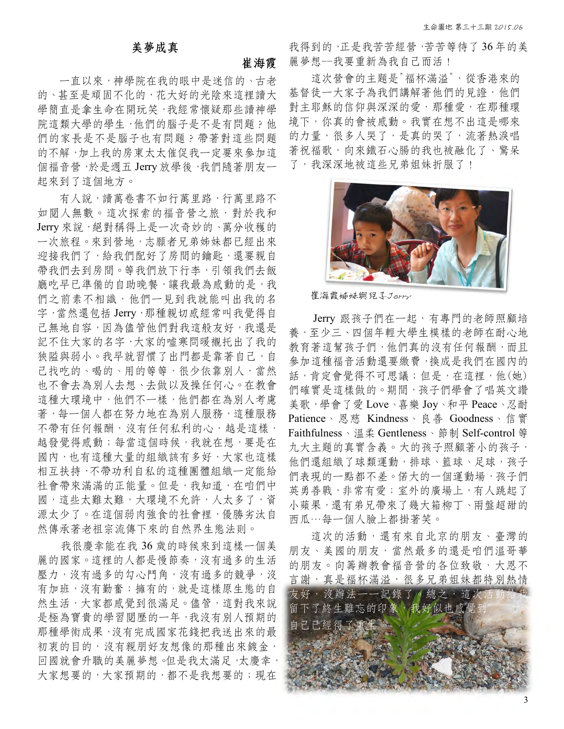#### 美夢成真

#### 崔海霞

 一直以來,神學院在我的眼中是迷信的、古老 的、甚至是頑固不化的,花大好的光陰來這裡讀大 學簡直是拿生命在開玩笑,我經常懷疑那些讀神學 院這類大學的學生,他們的腦子是不是有問題?他 們的家長是不是腦子也有問題?帶著對這些問題 的不解,加上我的房東太太催促我一定要來參加這 個福音營,於是週五 Jerry 放學後,我們隨著朋友一 起來到了這個地方。

 有人說,讀萬卷書不如行萬里路,行萬里路不 如閱人無數。這次探索的福音營之旅,對於我和 Jerry 來說,絕對稱得上是一次奇妙的、萬分收穫的 一次旅程。來到營地,志願者兄弟姊妹都已經出來 迎接我們了,給我們配好了房間的鑰匙,還要親自 帶我們去到房間。等我們放下行李,引領我們去飯 廳吃早已準備的自助晚餐,讓我最為感動的是,我 們之前素不相識,他們一見到我就能叫出我的名 字,當然還包括 Jerry,那種親切感經常叫我覺得自 己無地自容,因為儘管他們對我這般友好,我還是 記不住大家的名字,大家的噓寒問暖襯托出了我的 狹隘與弱小。我早就習慣了出門都是靠著自己,自 己找吃的、喝的、用的等等,很少依靠別人,當然 也不會去為別人去想、去做以及操任何心。在教會 這種大環境中,他們不一樣,他們都在為別人考慮 著,每一個人都在努力地在為別人服務,這種服務 不帶有任何報酬,沒有任何私利的心,越是這樣, 越發覺得感動;每當這個時候,我就在想,要是在 國內,也有這種大量的組織該有多好,大家也這樣 相互扶持,不帶功利自私的這種團體組織一定能給 社會帶來滿滿的正能量。但是,我知道,在咱們中 國,這些太難太難,大環境不允許,人太多了,資 源太少了。在這個弱肉強食的社會裡,優勝劣汰自 然傳承著老祖宗流傳下來的自然界生態法則。

 我很慶幸能在我 36 歲的時候來到這樣一個美 麗的國家。這裡的人都是慢節奏,沒有過多的生活 壓力,沒有過多的策爭,沒 有加班,沒有勤奮;擁有的,就是這樣原生態的自 然生活,大家都感覺到很滿足。儘管,這對我來說 是極為寶貴的學習閱歷的一年,我沒有別人預期的 那種學術成果,沒有完成國家花錢把我送出來的最 初衷的目的,沒有親朋好友想像的那種出來鍍金, 回國就會升職的美麗夢想。但是我太滿足,太慶幸, 大家想要的,大家預期的,都不是我想要的;現在 我得到的,正是我苦苦經營,苦苦等待了36年的美 麗夢想--我要重新為我自己而活!

 這次營會的主題是"福杯滿溢",從香港來的 基督徒一大家子為我們講解著他們的見證,他們 對主耶穌的信仰與深深的愛,那種愛,在那種環 境下,你真的會被感動。我實在想不出這是哪來 的力量,很多人哭了,是真的哭了,流著熱淚唱 著祝福歌,向來鐵石心腸的我也被融化了、驚呆 了,我深深地被這些兄弟姐妹折服了!



崔海霞姊妹與兒子Jerry

Jerry 跟孩子們在一起,有專門的老師照顧培 養,至少三、四個年輕大學生模樣的老師在耐心地 教育著這幫孩子們,他們真的沒有任何報酬,而且 參加這種福音活動還要繳費,換成是我們在國內的 話,肯定會覺得不可思議;但是,在這裡,他(她) 們確實是這樣做的。期間,孩子們學會了唱英文讚 美歌,學會了愛 Love、喜樂 Joy、和平 Peace、忍耐 Patience、恩慈 Kindness、良善 Goodness、信實 Faithfulness、溫柔 Gentleness、節制 Self-control 等 九大主題的真實含義。大的孩子照顧著小的孩子, 他們還組織了球類運動,排球、籃球、足球,孩子 們表現的一點都不差。偌大的一個運動場,孩子們 英勇善戰,非常有愛;室外的廣場上,有人跳起了 小蘋果,還有弟兄帶來了幾大箱柳丁、兩盤超甜的 西瓜…每一個人臉上都掛著笑。

 這次的活動,還有來自北京的朋友、臺灣的 朋友、美國的朋友,當然最多的還是咱們溫哥華 的朋友。向籌辦教會福音營的各位致敬,大恩不 言謝,真是福杯滿溢,很多兄弟姐妹都特別熱情 友好,沒辦法一一記錄了。總之,這次 留下了終生難忘的印象,我好似也感覺 自己已經得了重